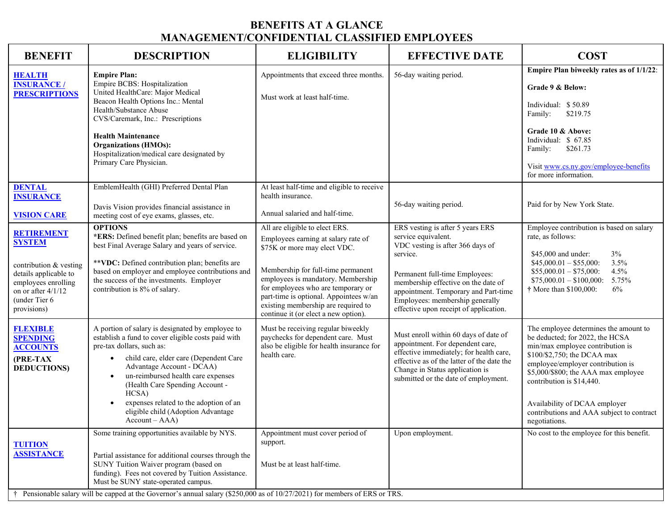## **BENEFITS AT A GLANCE MANAGEMENT/CONFIDENTIAL CLASSIFIED EMPLOYEES**

| <b>BENEFIT</b>                                                                                                                                                     | <b>DESCRIPTION</b>                                                                                                                                                                                                                                                                                                                                                                                            | <b>ELIGIBILITY</b>                                                                                                                                                                                                                                                                                                                               | <b>EFFECTIVE DATE</b>                                                                                                                                                                                                                                                                                 | <b>COST</b>                                                                                                                                                                                                                                                                                                                                         |
|--------------------------------------------------------------------------------------------------------------------------------------------------------------------|---------------------------------------------------------------------------------------------------------------------------------------------------------------------------------------------------------------------------------------------------------------------------------------------------------------------------------------------------------------------------------------------------------------|--------------------------------------------------------------------------------------------------------------------------------------------------------------------------------------------------------------------------------------------------------------------------------------------------------------------------------------------------|-------------------------------------------------------------------------------------------------------------------------------------------------------------------------------------------------------------------------------------------------------------------------------------------------------|-----------------------------------------------------------------------------------------------------------------------------------------------------------------------------------------------------------------------------------------------------------------------------------------------------------------------------------------------------|
| <b>HEALTH</b><br><b>INSURANCE /</b><br><b>PRESCRIPTIONS</b>                                                                                                        | <b>Empire Plan:</b><br>Empire BCBS: Hospitalization<br>United HealthCare: Major Medical<br>Beacon Health Options Inc.: Mental<br>Health/Substance Abuse<br>CVS/Caremark, Inc.: Prescriptions<br><b>Health Maintenance</b><br><b>Organizations (HMOs):</b><br>Hospitalization/medical care designated by<br>Primary Care Physician.                                                                            | Appointments that exceed three months.<br>Must work at least half-time.                                                                                                                                                                                                                                                                          | 56-day waiting period.                                                                                                                                                                                                                                                                                | Empire Plan biweekly rates as of 1/1/22:<br>Grade 9 & Below:<br>Individual: \$50.89<br>\$219.75<br>Family:<br>Grade 10 & Above:<br>Individual: \$ 67.85<br>Family:<br>\$261.73<br>Visit www.cs.ny.gov/employee-benefits<br>for more information.                                                                                                    |
| <b>DENTAL</b><br><b>INSURANCE</b><br><b>VISION CARE</b>                                                                                                            | EmblemHealth (GHI) Preferred Dental Plan<br>Davis Vision provides financial assistance in<br>meeting cost of eye exams, glasses, etc.                                                                                                                                                                                                                                                                         | At least half-time and eligible to receive<br>health insurance.<br>Annual salaried and half-time.                                                                                                                                                                                                                                                | 56-day waiting period.                                                                                                                                                                                                                                                                                | Paid for by New York State.                                                                                                                                                                                                                                                                                                                         |
| <b>RETIREMENT</b><br><b>SYSTEM</b><br>contribution & vesting<br>details applicable to<br>employees enrolling<br>on or after 4/1/12<br>(under Tier 6<br>provisions) | <b>OPTIONS</b><br>*ERS: Defined benefit plan; benefits are based on<br>best Final Average Salary and years of service.<br>**VDC: Defined contribution plan; benefits are<br>based on employer and employee contributions and<br>the success of the investments. Employer<br>contribution is 8% of salary.                                                                                                     | All are eligible to elect ERS.<br>Employees earning at salary rate of<br>\$75K or more may elect VDC.<br>Membership for full-time permanent<br>employees is mandatory. Membership<br>for employees who are temporary or<br>part-time is optional. Appointees w/an<br>existing membership are required to<br>continue it (or elect a new option). | ERS vesting is after 5 years ERS<br>service equivalent.<br>VDC vesting is after 366 days of<br>service.<br>Permanent full-time Employees:<br>membership effective on the date of<br>appointment. Temporary and Part-time<br>Employees: membership generally<br>effective upon receipt of application. | Employee contribution is based on salary<br>rate, as follows:<br>3%<br>\$45,000 and under:<br>3.5%<br>$$45,000.01 - $55,000$ :<br>$$55,000.01 - $75,000$ :<br>4.5%<br>$$75,000.01 - $100,000$ :<br>5.75%<br>† More than \$100,000:<br>6%                                                                                                            |
| <b>FLEXIBLE</b><br><b>SPENDING</b><br><b>ACCOUNTS</b><br>(PRE-TAX<br><b>DEDUCTIONS</b>                                                                             | A portion of salary is designated by employee to<br>establish a fund to cover eligible costs paid with<br>pre-tax dollars, such as:<br>child care, elder care (Dependent Care<br>$\bullet$<br>Advantage Account - DCAA)<br>un-reimbursed health care expenses<br>(Health Care Spending Account -<br>HCSA)<br>expenses related to the adoption of an<br>eligible child (Adoption Advantage<br>$Account - AAA)$ | Must be receiving regular biweekly<br>paychecks for dependent care. Must<br>also be eligible for health insurance for<br>health care.                                                                                                                                                                                                            | Must enroll within 60 days of date of<br>appointment. For dependent care,<br>effective immediately; for health care,<br>effective as of the latter of the date the<br>Change in Status application is<br>submitted or the date of employment.                                                         | The employee determines the amount to<br>be deducted; for 2022, the HCSA<br>min/max employee contribution is<br>\$100/\$2,750; the DCAA max<br>employee/employer contribution is<br>\$5,000/\$800; the AAA max employee<br>contribution is \$14,440.<br>Availability of DCAA employer<br>contributions and AAA subject to contract<br>negotiations. |
| <b>TUITION</b><br><b>ASSISTANCE</b><br>$+$                                                                                                                         | Some training opportunities available by NYS.<br>Partial assistance for additional courses through the<br>SUNY Tuition Waiver program (based on<br>funding). Fees not covered by Tuition Assistance.<br>Must be SUNY state-operated campus.<br>Pensionable salary will be capped at the Governor's annual salary (\$250,000 as of 10/27/2021) for members of ERS or TRS.                                      | Appointment must cover period of<br>support.<br>Must be at least half-time.                                                                                                                                                                                                                                                                      | Upon employment.                                                                                                                                                                                                                                                                                      | No cost to the employee for this benefit.                                                                                                                                                                                                                                                                                                           |